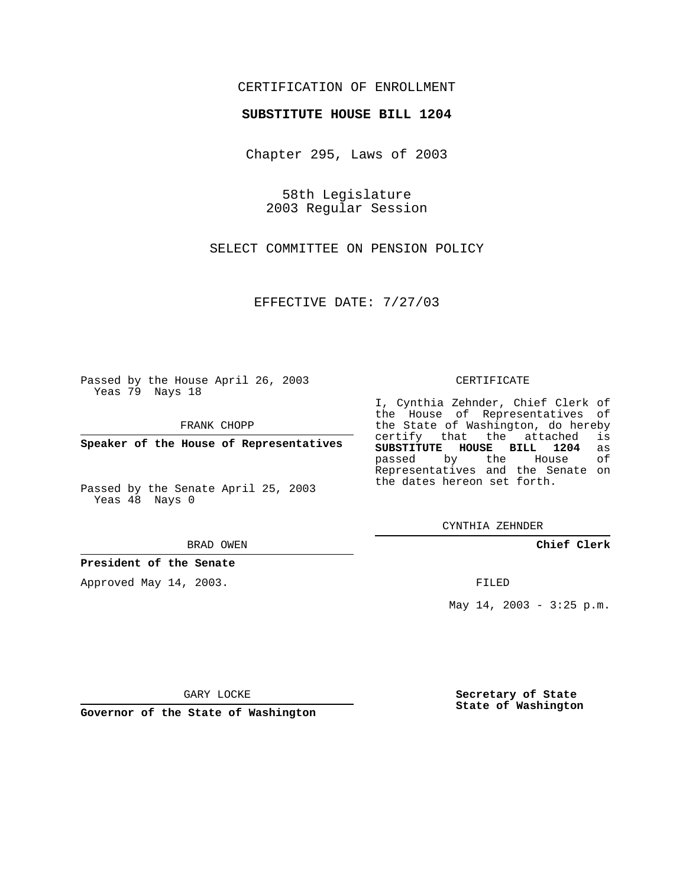## CERTIFICATION OF ENROLLMENT

### **SUBSTITUTE HOUSE BILL 1204**

Chapter 295, Laws of 2003

58th Legislature 2003 Regular Session

SELECT COMMITTEE ON PENSION POLICY

EFFECTIVE DATE: 7/27/03

Passed by the House April 26, 2003 Yeas 79 Nays 18

FRANK CHOPP

**Speaker of the House of Representatives**

Passed by the Senate April 25, 2003 Yeas 48 Nays 0

#### BRAD OWEN

**President of the Senate**

Approved May 14, 2003.

#### CERTIFICATE

I, Cynthia Zehnder, Chief Clerk of the House of Representatives of the State of Washington, do hereby<br>certify that the attached is certify that the attached **SUBSTITUTE HOUSE BILL 1204** as passed by the House of Representatives and the Senate on the dates hereon set forth.

CYNTHIA ZEHNDER

**Chief Clerk**

FILED

May 14, 2003 - 3:25 p.m.

GARY LOCKE

**Governor of the State of Washington**

**Secretary of State State of Washington**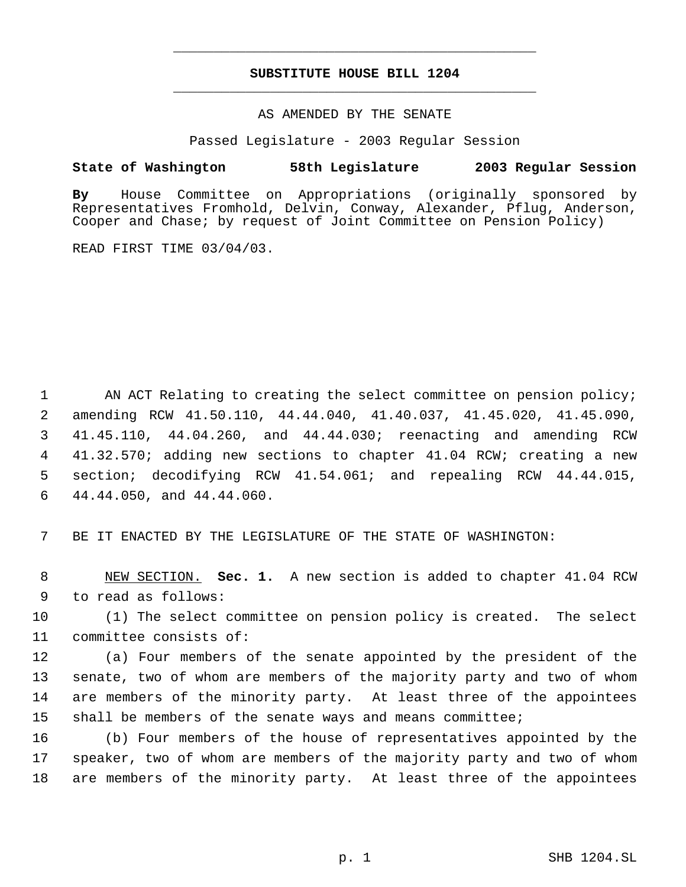# **SUBSTITUTE HOUSE BILL 1204** \_\_\_\_\_\_\_\_\_\_\_\_\_\_\_\_\_\_\_\_\_\_\_\_\_\_\_\_\_\_\_\_\_\_\_\_\_\_\_\_\_\_\_\_\_

\_\_\_\_\_\_\_\_\_\_\_\_\_\_\_\_\_\_\_\_\_\_\_\_\_\_\_\_\_\_\_\_\_\_\_\_\_\_\_\_\_\_\_\_\_

## AS AMENDED BY THE SENATE

Passed Legislature - 2003 Regular Session

## **State of Washington 58th Legislature 2003 Regular Session**

**By** House Committee on Appropriations (originally sponsored by Representatives Fromhold, Delvin, Conway, Alexander, Pflug, Anderson, Cooper and Chase; by request of Joint Committee on Pension Policy)

READ FIRST TIME 03/04/03.

1 AN ACT Relating to creating the select committee on pension policy; amending RCW 41.50.110, 44.44.040, 41.40.037, 41.45.020, 41.45.090, 41.45.110, 44.04.260, and 44.44.030; reenacting and amending RCW 41.32.570; adding new sections to chapter 41.04 RCW; creating a new section; decodifying RCW 41.54.061; and repealing RCW 44.44.015, 44.44.050, and 44.44.060.

7 BE IT ENACTED BY THE LEGISLATURE OF THE STATE OF WASHINGTON:

 8 NEW SECTION. **Sec. 1.** A new section is added to chapter 41.04 RCW 9 to read as follows:

10 (1) The select committee on pension policy is created. The select 11 committee consists of:

 (a) Four members of the senate appointed by the president of the senate, two of whom are members of the majority party and two of whom are members of the minority party. At least three of the appointees shall be members of the senate ways and means committee;

16 (b) Four members of the house of representatives appointed by the 17 speaker, two of whom are members of the majority party and two of whom 18 are members of the minority party. At least three of the appointees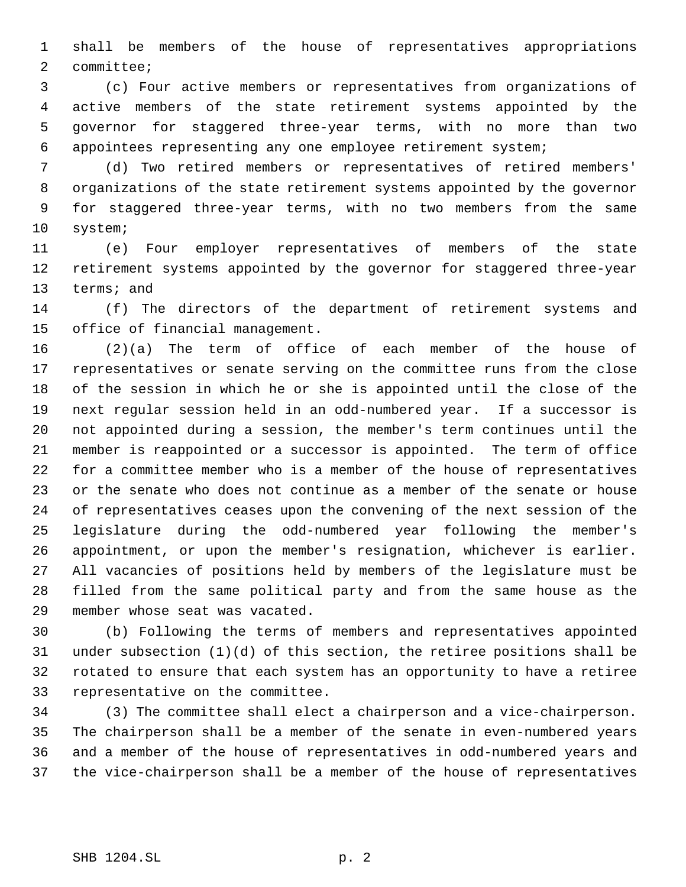shall be members of the house of representatives appropriations committee;

 (c) Four active members or representatives from organizations of active members of the state retirement systems appointed by the governor for staggered three-year terms, with no more than two appointees representing any one employee retirement system;

 (d) Two retired members or representatives of retired members' organizations of the state retirement systems appointed by the governor for staggered three-year terms, with no two members from the same system;

 (e) Four employer representatives of members of the state retirement systems appointed by the governor for staggered three-year terms; and

 (f) The directors of the department of retirement systems and office of financial management.

 (2)(a) The term of office of each member of the house of representatives or senate serving on the committee runs from the close of the session in which he or she is appointed until the close of the next regular session held in an odd-numbered year. If a successor is not appointed during a session, the member's term continues until the member is reappointed or a successor is appointed. The term of office for a committee member who is a member of the house of representatives or the senate who does not continue as a member of the senate or house of representatives ceases upon the convening of the next session of the legislature during the odd-numbered year following the member's appointment, or upon the member's resignation, whichever is earlier. All vacancies of positions held by members of the legislature must be filled from the same political party and from the same house as the member whose seat was vacated.

 (b) Following the terms of members and representatives appointed under subsection (1)(d) of this section, the retiree positions shall be rotated to ensure that each system has an opportunity to have a retiree representative on the committee.

 (3) The committee shall elect a chairperson and a vice-chairperson. The chairperson shall be a member of the senate in even-numbered years and a member of the house of representatives in odd-numbered years and the vice-chairperson shall be a member of the house of representatives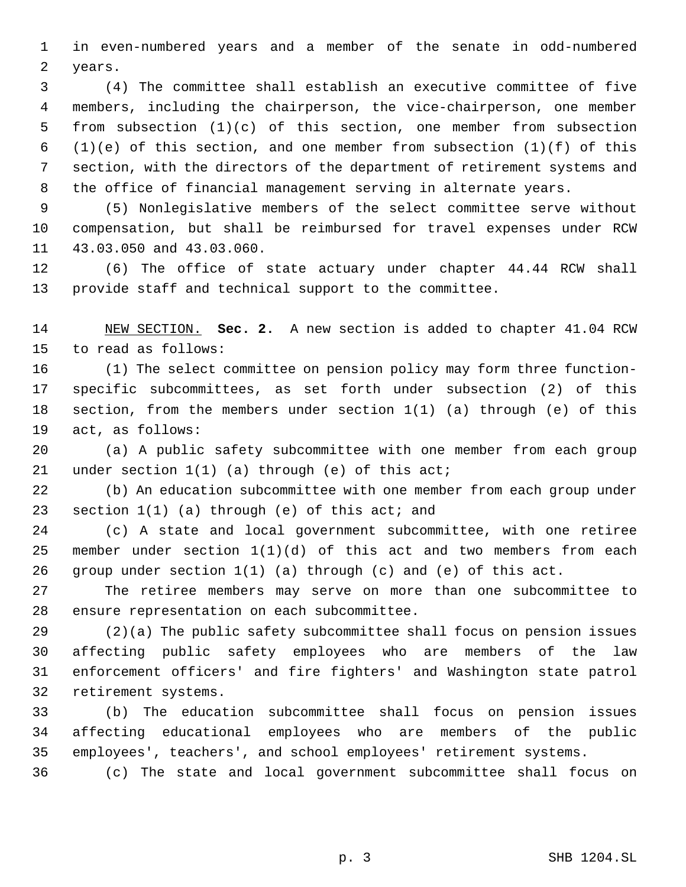in even-numbered years and a member of the senate in odd-numbered years.

 (4) The committee shall establish an executive committee of five members, including the chairperson, the vice-chairperson, one member from subsection (1)(c) of this section, one member from subsection 6 (1)(e) of this section, and one member from subsection  $(1)(f)$  of this section, with the directors of the department of retirement systems and the office of financial management serving in alternate years.

 (5) Nonlegislative members of the select committee serve without compensation, but shall be reimbursed for travel expenses under RCW 43.03.050 and 43.03.060.

 (6) The office of state actuary under chapter 44.44 RCW shall provide staff and technical support to the committee.

 NEW SECTION. **Sec. 2.** A new section is added to chapter 41.04 RCW to read as follows:

 (1) The select committee on pension policy may form three function- specific subcommittees, as set forth under subsection (2) of this section, from the members under section 1(1) (a) through (e) of this act, as follows:

 (a) A public safety subcommittee with one member from each group under section 1(1) (a) through (e) of this act;

 (b) An education subcommittee with one member from each group under 23 section 1(1) (a) through (e) of this act; and

 (c) A state and local government subcommittee, with one retiree 25 member under section  $1(1)(d)$  of this act and two members from each group under section 1(1) (a) through (c) and (e) of this act.

 The retiree members may serve on more than one subcommittee to ensure representation on each subcommittee.

 (2)(a) The public safety subcommittee shall focus on pension issues affecting public safety employees who are members of the law enforcement officers' and fire fighters' and Washington state patrol retirement systems.

 (b) The education subcommittee shall focus on pension issues affecting educational employees who are members of the public employees', teachers', and school employees' retirement systems.

(c) The state and local government subcommittee shall focus on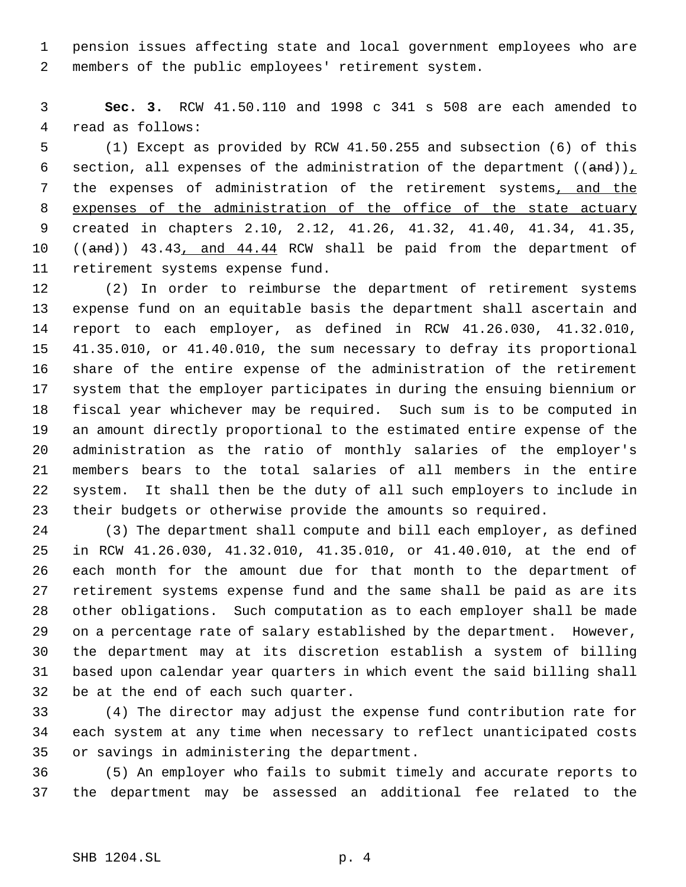pension issues affecting state and local government employees who are members of the public employees' retirement system.

 **Sec. 3.** RCW 41.50.110 and 1998 c 341 s 508 are each amended to read as follows:

 (1) Except as provided by RCW 41.50.255 and subsection (6) of this 6 section, all expenses of the administration of the department  $((and))$ , 7 the expenses of administration of the retirement systems, and the 8 expenses of the administration of the office of the state actuary created in chapters 2.10, 2.12, 41.26, 41.32, 41.40, 41.34, 41.35, 10 ((and)) 43.43, and 44.44 RCW shall be paid from the department of retirement systems expense fund.

 (2) In order to reimburse the department of retirement systems expense fund on an equitable basis the department shall ascertain and report to each employer, as defined in RCW 41.26.030, 41.32.010, 41.35.010, or 41.40.010, the sum necessary to defray its proportional share of the entire expense of the administration of the retirement system that the employer participates in during the ensuing biennium or fiscal year whichever may be required. Such sum is to be computed in an amount directly proportional to the estimated entire expense of the administration as the ratio of monthly salaries of the employer's members bears to the total salaries of all members in the entire system. It shall then be the duty of all such employers to include in their budgets or otherwise provide the amounts so required.

 (3) The department shall compute and bill each employer, as defined in RCW 41.26.030, 41.32.010, 41.35.010, or 41.40.010, at the end of each month for the amount due for that month to the department of retirement systems expense fund and the same shall be paid as are its other obligations. Such computation as to each employer shall be made on a percentage rate of salary established by the department. However, the department may at its discretion establish a system of billing based upon calendar year quarters in which event the said billing shall be at the end of each such quarter.

 (4) The director may adjust the expense fund contribution rate for each system at any time when necessary to reflect unanticipated costs or savings in administering the department.

 (5) An employer who fails to submit timely and accurate reports to the department may be assessed an additional fee related to the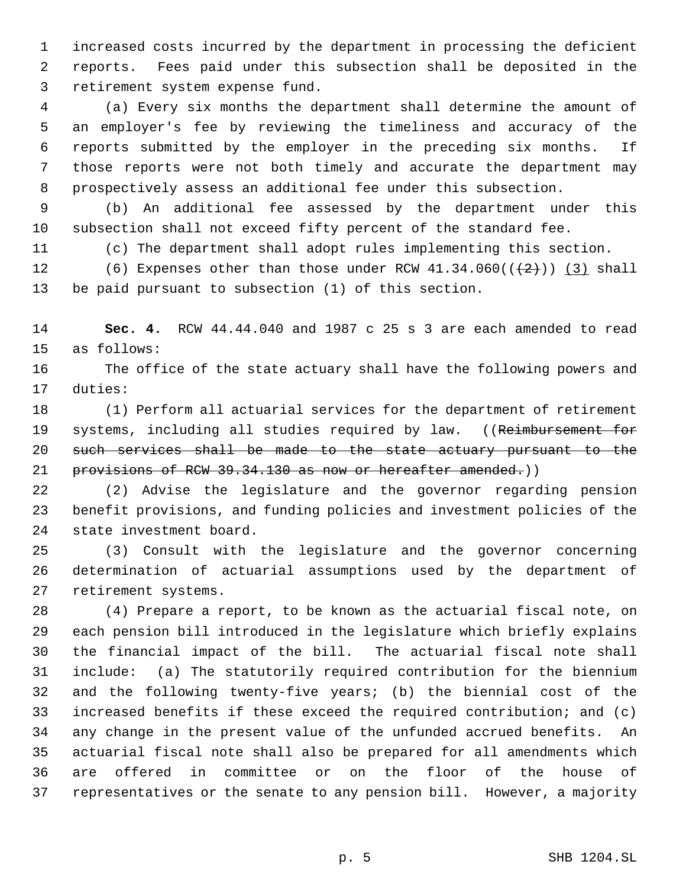increased costs incurred by the department in processing the deficient reports. Fees paid under this subsection shall be deposited in the retirement system expense fund.

 (a) Every six months the department shall determine the amount of an employer's fee by reviewing the timeliness and accuracy of the reports submitted by the employer in the preceding six months. If those reports were not both timely and accurate the department may prospectively assess an additional fee under this subsection.

 (b) An additional fee assessed by the department under this subsection shall not exceed fifty percent of the standard fee.

(c) The department shall adopt rules implementing this section.

12 (6) Expenses other than those under RCW  $41.34.060((\leftarrow{2})$  (3) shall be paid pursuant to subsection (1) of this section.

 **Sec. 4.** RCW 44.44.040 and 1987 c 25 s 3 are each amended to read as follows:

 The office of the state actuary shall have the following powers and duties:

 (1) Perform all actuarial services for the department of retirement 19 systems, including all studies required by law. ((Reimbursement for such services shall be made to the state actuary pursuant to the 21 provisions of RCW 39.34.130 as now or hereafter amended.)

 (2) Advise the legislature and the governor regarding pension benefit provisions, and funding policies and investment policies of the state investment board.

 (3) Consult with the legislature and the governor concerning determination of actuarial assumptions used by the department of retirement systems.

 (4) Prepare a report, to be known as the actuarial fiscal note, on each pension bill introduced in the legislature which briefly explains the financial impact of the bill. The actuarial fiscal note shall include: (a) The statutorily required contribution for the biennium and the following twenty-five years; (b) the biennial cost of the increased benefits if these exceed the required contribution; and (c) any change in the present value of the unfunded accrued benefits. An actuarial fiscal note shall also be prepared for all amendments which are offered in committee or on the floor of the house of representatives or the senate to any pension bill. However, a majority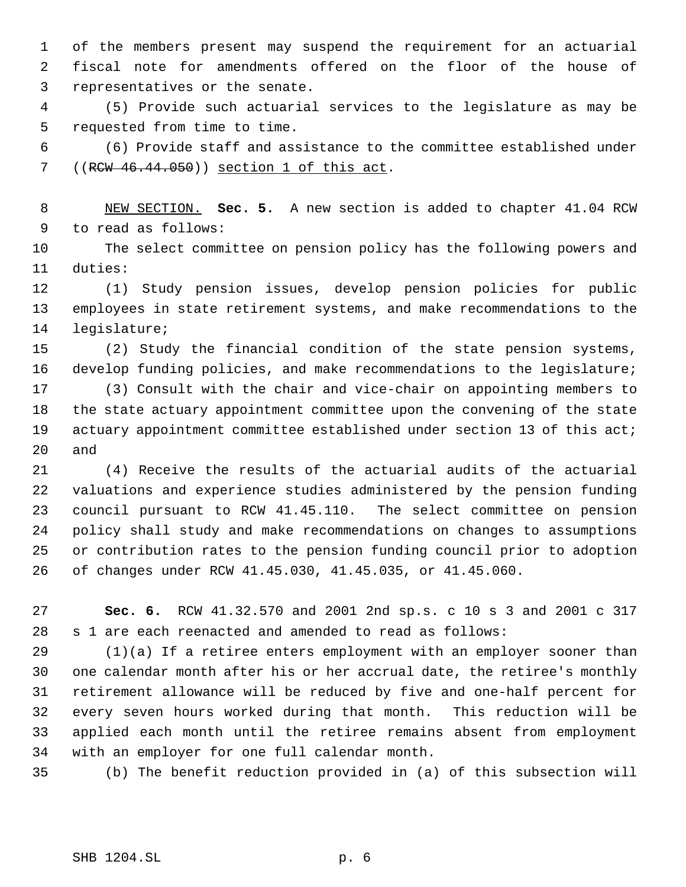of the members present may suspend the requirement for an actuarial fiscal note for amendments offered on the floor of the house of representatives or the senate.

 (5) Provide such actuarial services to the legislature as may be requested from time to time.

 (6) Provide staff and assistance to the committee established under 7 ((RCW 46.44.050)) section 1 of this act.

 NEW SECTION. **Sec. 5.** A new section is added to chapter 41.04 RCW to read as follows:

 The select committee on pension policy has the following powers and duties:

 (1) Study pension issues, develop pension policies for public employees in state retirement systems, and make recommendations to the legislature;

 (2) Study the financial condition of the state pension systems, develop funding policies, and make recommendations to the legislature;

 (3) Consult with the chair and vice-chair on appointing members to the state actuary appointment committee upon the convening of the state actuary appointment committee established under section 13 of this act; and

 (4) Receive the results of the actuarial audits of the actuarial valuations and experience studies administered by the pension funding council pursuant to RCW 41.45.110. The select committee on pension policy shall study and make recommendations on changes to assumptions or contribution rates to the pension funding council prior to adoption of changes under RCW 41.45.030, 41.45.035, or 41.45.060.

 **Sec. 6.** RCW 41.32.570 and 2001 2nd sp.s. c 10 s 3 and 2001 c 317 s 1 are each reenacted and amended to read as follows:

 (1)(a) If a retiree enters employment with an employer sooner than one calendar month after his or her accrual date, the retiree's monthly retirement allowance will be reduced by five and one-half percent for every seven hours worked during that month. This reduction will be applied each month until the retiree remains absent from employment with an employer for one full calendar month.

(b) The benefit reduction provided in (a) of this subsection will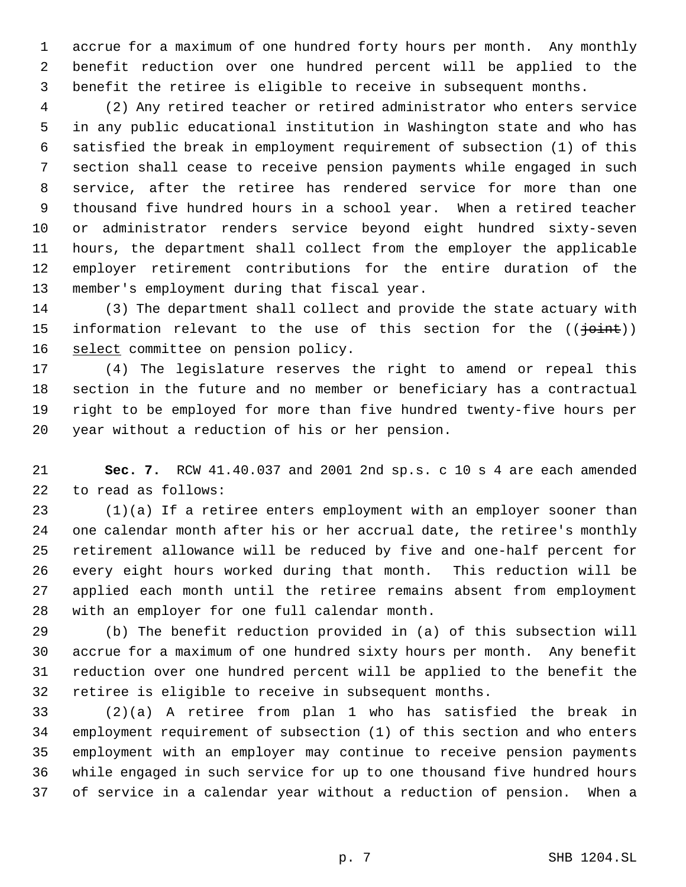accrue for a maximum of one hundred forty hours per month. Any monthly benefit reduction over one hundred percent will be applied to the benefit the retiree is eligible to receive in subsequent months.

 (2) Any retired teacher or retired administrator who enters service in any public educational institution in Washington state and who has satisfied the break in employment requirement of subsection (1) of this section shall cease to receive pension payments while engaged in such service, after the retiree has rendered service for more than one thousand five hundred hours in a school year. When a retired teacher or administrator renders service beyond eight hundred sixty-seven hours, the department shall collect from the employer the applicable employer retirement contributions for the entire duration of the member's employment during that fiscal year.

 (3) The department shall collect and provide the state actuary with 15 information relevant to the use of this section for the  $((\frac{1}{10} + 1)^2)$ 16 select committee on pension policy.

 (4) The legislature reserves the right to amend or repeal this section in the future and no member or beneficiary has a contractual right to be employed for more than five hundred twenty-five hours per year without a reduction of his or her pension.

 **Sec. 7.** RCW 41.40.037 and 2001 2nd sp.s. c 10 s 4 are each amended to read as follows:

 (1)(a) If a retiree enters employment with an employer sooner than one calendar month after his or her accrual date, the retiree's monthly retirement allowance will be reduced by five and one-half percent for every eight hours worked during that month. This reduction will be applied each month until the retiree remains absent from employment with an employer for one full calendar month.

 (b) The benefit reduction provided in (a) of this subsection will accrue for a maximum of one hundred sixty hours per month. Any benefit reduction over one hundred percent will be applied to the benefit the retiree is eligible to receive in subsequent months.

 (2)(a) A retiree from plan 1 who has satisfied the break in employment requirement of subsection (1) of this section and who enters employment with an employer may continue to receive pension payments while engaged in such service for up to one thousand five hundred hours of service in a calendar year without a reduction of pension. When a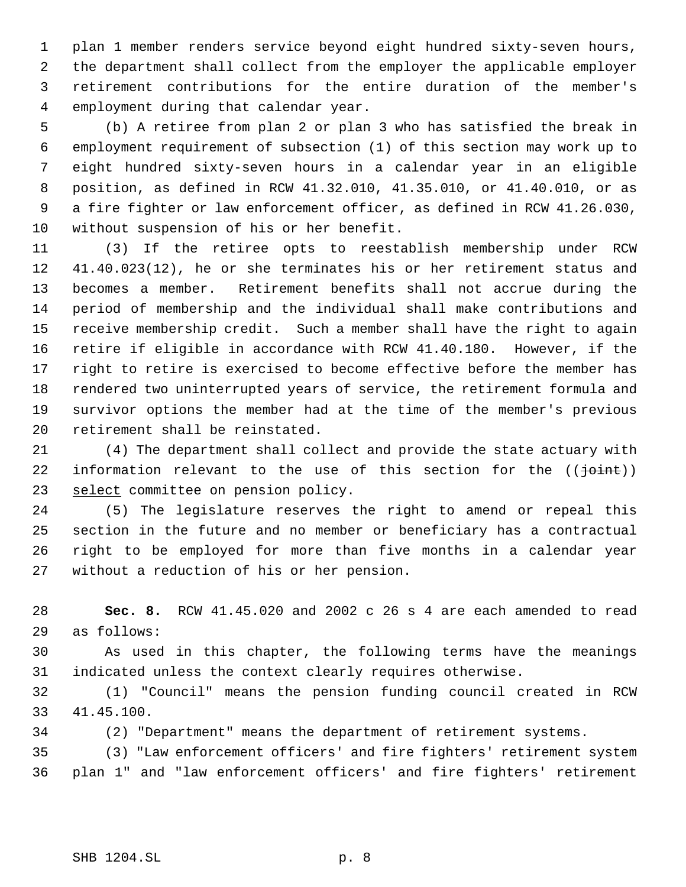plan 1 member renders service beyond eight hundred sixty-seven hours, the department shall collect from the employer the applicable employer retirement contributions for the entire duration of the member's employment during that calendar year.

 (b) A retiree from plan 2 or plan 3 who has satisfied the break in employment requirement of subsection (1) of this section may work up to eight hundred sixty-seven hours in a calendar year in an eligible position, as defined in RCW 41.32.010, 41.35.010, or 41.40.010, or as a fire fighter or law enforcement officer, as defined in RCW 41.26.030, without suspension of his or her benefit.

 (3) If the retiree opts to reestablish membership under RCW 41.40.023(12), he or she terminates his or her retirement status and becomes a member. Retirement benefits shall not accrue during the period of membership and the individual shall make contributions and receive membership credit. Such a member shall have the right to again retire if eligible in accordance with RCW 41.40.180. However, if the right to retire is exercised to become effective before the member has rendered two uninterrupted years of service, the retirement formula and survivor options the member had at the time of the member's previous retirement shall be reinstated.

 (4) The department shall collect and provide the state actuary with 22 information relevant to the use of this section for the  $((\frac{1}{10})^n)$ 23 select committee on pension policy.

 (5) The legislature reserves the right to amend or repeal this section in the future and no member or beneficiary has a contractual right to be employed for more than five months in a calendar year without a reduction of his or her pension.

 **Sec. 8.** RCW 41.45.020 and 2002 c 26 s 4 are each amended to read as follows:

 As used in this chapter, the following terms have the meanings indicated unless the context clearly requires otherwise.

 (1) "Council" means the pension funding council created in RCW 41.45.100.

(2) "Department" means the department of retirement systems.

 (3) "Law enforcement officers' and fire fighters' retirement system plan 1" and "law enforcement officers' and fire fighters' retirement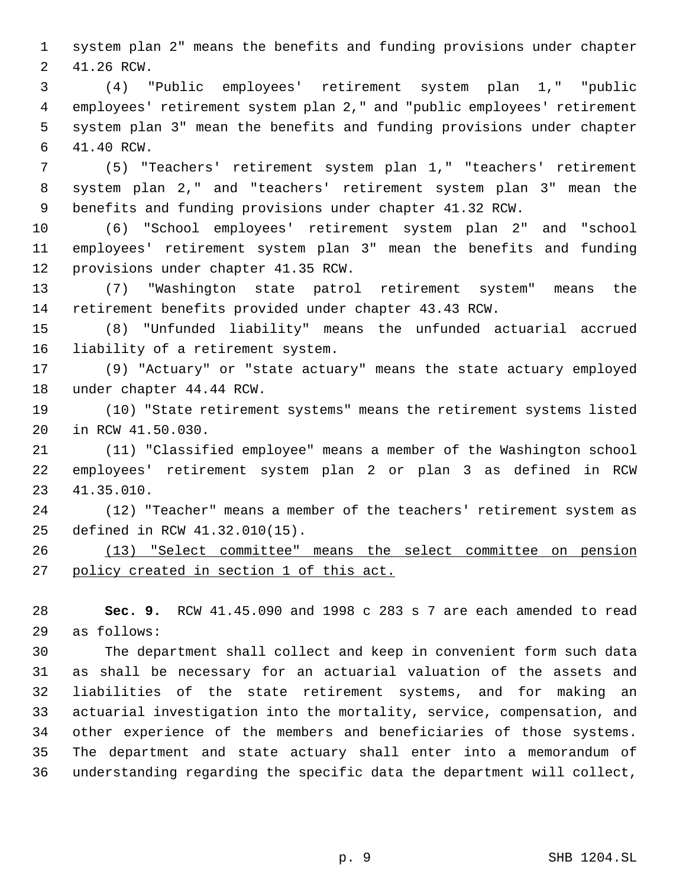system plan 2" means the benefits and funding provisions under chapter 41.26 RCW.

 (4) "Public employees' retirement system plan 1," "public employees' retirement system plan 2," and "public employees' retirement system plan 3" mean the benefits and funding provisions under chapter 41.40 RCW.

 (5) "Teachers' retirement system plan 1," "teachers' retirement system plan 2," and "teachers' retirement system plan 3" mean the benefits and funding provisions under chapter 41.32 RCW.

 (6) "School employees' retirement system plan 2" and "school employees' retirement system plan 3" mean the benefits and funding provisions under chapter 41.35 RCW.

 (7) "Washington state patrol retirement system" means the retirement benefits provided under chapter 43.43 RCW.

 (8) "Unfunded liability" means the unfunded actuarial accrued liability of a retirement system.

 (9) "Actuary" or "state actuary" means the state actuary employed under chapter 44.44 RCW.

 (10) "State retirement systems" means the retirement systems listed in RCW 41.50.030.

 (11) "Classified employee" means a member of the Washington school employees' retirement system plan 2 or plan 3 as defined in RCW 41.35.010.

 (12) "Teacher" means a member of the teachers' retirement system as defined in RCW 41.32.010(15).

 (13) "Select committee" means the select committee on pension 27 policy created in section 1 of this act.

 **Sec. 9.** RCW 41.45.090 and 1998 c 283 s 7 are each amended to read as follows:

 The department shall collect and keep in convenient form such data as shall be necessary for an actuarial valuation of the assets and liabilities of the state retirement systems, and for making an actuarial investigation into the mortality, service, compensation, and other experience of the members and beneficiaries of those systems. The department and state actuary shall enter into a memorandum of understanding regarding the specific data the department will collect,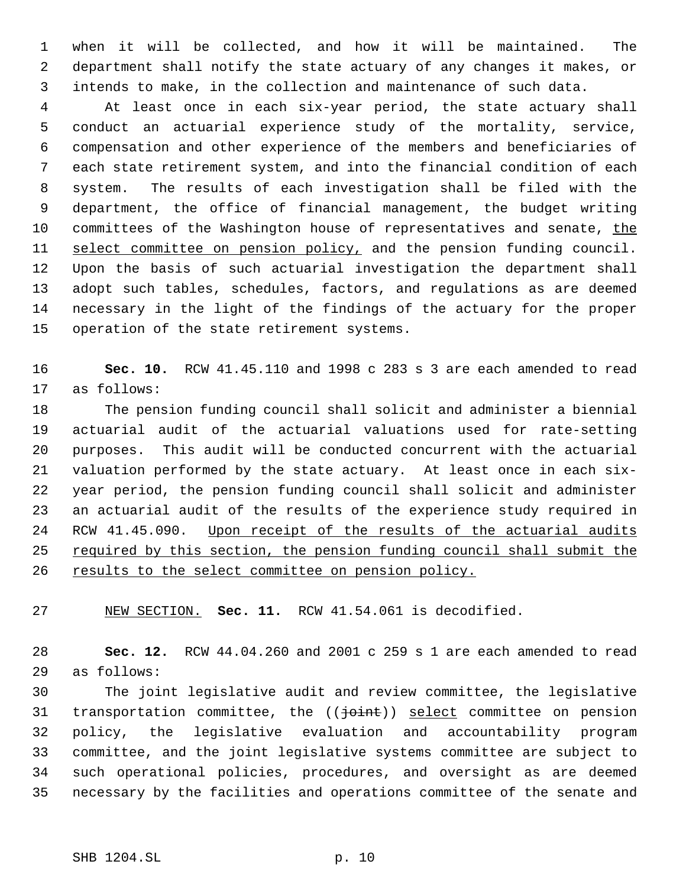when it will be collected, and how it will be maintained. The department shall notify the state actuary of any changes it makes, or intends to make, in the collection and maintenance of such data.

 At least once in each six-year period, the state actuary shall conduct an actuarial experience study of the mortality, service, compensation and other experience of the members and beneficiaries of each state retirement system, and into the financial condition of each system. The results of each investigation shall be filed with the department, the office of financial management, the budget writing 10 committees of the Washington house of representatives and senate, the 11 select committee on pension policy, and the pension funding council. Upon the basis of such actuarial investigation the department shall adopt such tables, schedules, factors, and regulations as are deemed necessary in the light of the findings of the actuary for the proper operation of the state retirement systems.

 **Sec. 10.** RCW 41.45.110 and 1998 c 283 s 3 are each amended to read as follows:

 The pension funding council shall solicit and administer a biennial actuarial audit of the actuarial valuations used for rate-setting purposes. This audit will be conducted concurrent with the actuarial valuation performed by the state actuary. At least once in each six- year period, the pension funding council shall solicit and administer an actuarial audit of the results of the experience study required in RCW 41.45.090. Upon receipt of the results of the actuarial audits 25 required by this section, the pension funding council shall submit the 26 results to the select committee on pension policy.

NEW SECTION. **Sec. 11.** RCW 41.54.061 is decodified.

 **Sec. 12.** RCW 44.04.260 and 2001 c 259 s 1 are each amended to read as follows:

 The joint legislative audit and review committee, the legislative 31 transportation committee, the (( $\frac{1}{10}$ ) select committee on pension policy, the legislative evaluation and accountability program committee, and the joint legislative systems committee are subject to such operational policies, procedures, and oversight as are deemed necessary by the facilities and operations committee of the senate and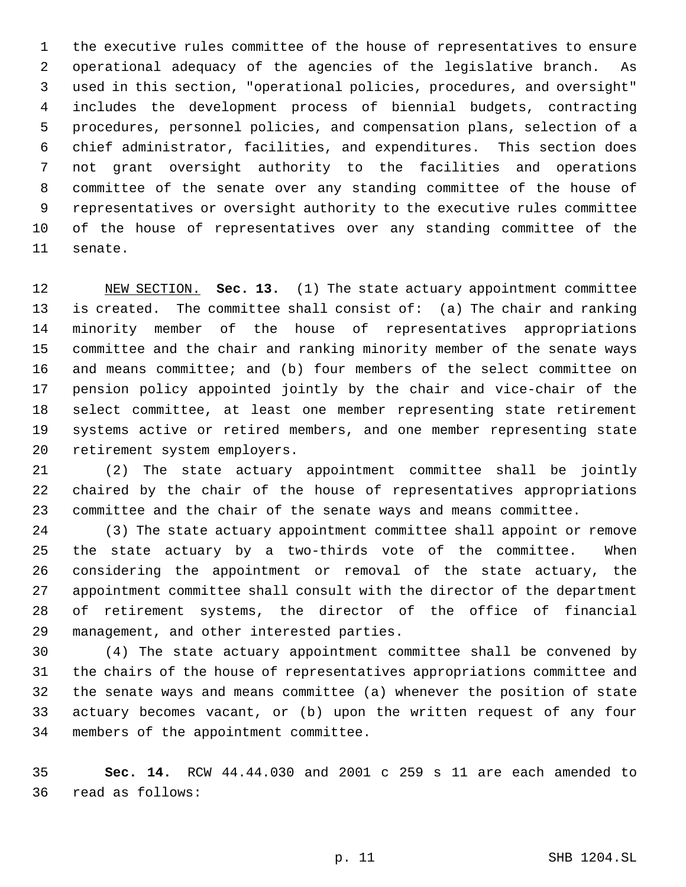the executive rules committee of the house of representatives to ensure operational adequacy of the agencies of the legislative branch. As used in this section, "operational policies, procedures, and oversight" includes the development process of biennial budgets, contracting procedures, personnel policies, and compensation plans, selection of a chief administrator, facilities, and expenditures. This section does not grant oversight authority to the facilities and operations committee of the senate over any standing committee of the house of representatives or oversight authority to the executive rules committee of the house of representatives over any standing committee of the senate.

 NEW SECTION. **Sec. 13.** (1) The state actuary appointment committee is created. The committee shall consist of: (a) The chair and ranking minority member of the house of representatives appropriations committee and the chair and ranking minority member of the senate ways and means committee; and (b) four members of the select committee on pension policy appointed jointly by the chair and vice-chair of the select committee, at least one member representing state retirement systems active or retired members, and one member representing state retirement system employers.

 (2) The state actuary appointment committee shall be jointly chaired by the chair of the house of representatives appropriations committee and the chair of the senate ways and means committee.

 (3) The state actuary appointment committee shall appoint or remove the state actuary by a two-thirds vote of the committee. When considering the appointment or removal of the state actuary, the appointment committee shall consult with the director of the department of retirement systems, the director of the office of financial management, and other interested parties.

 (4) The state actuary appointment committee shall be convened by the chairs of the house of representatives appropriations committee and the senate ways and means committee (a) whenever the position of state actuary becomes vacant, or (b) upon the written request of any four members of the appointment committee.

 **Sec. 14.** RCW 44.44.030 and 2001 c 259 s 11 are each amended to read as follows: